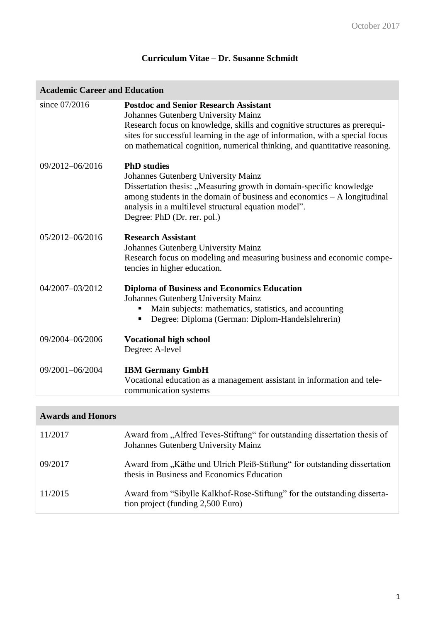# **Curriculum Vitae – Dr. Susanne Schmidt**

| since 07/2016<br><b>Postdoc and Senior Research Assistant</b><br><b>Johannes Gutenberg University Mainz</b><br>Research focus on knowledge, skills and cognitive structures as prerequi-<br>sites for successful learning in the age of information, with a special focus<br>on mathematical cognition, numerical thinking, and quantitative reasoning.<br>09/2012-06/2016<br><b>PhD</b> studies<br><b>Johannes Gutenberg University Mainz</b><br>Dissertation thesis: "Measuring growth in domain-specific knowledge<br>among students in the domain of business and economics - A longitudinal<br>analysis in a multilevel structural equation model".<br>Degree: PhD (Dr. rer. pol.)<br>05/2012-06/2016<br><b>Research Assistant</b><br>Johannes Gutenberg University Mainz<br>Research focus on modeling and measuring business and economic compe-<br>tencies in higher education.<br>04/2007-03/2012<br><b>Diploma of Business and Economics Education</b><br>Johannes Gutenberg University Mainz<br>Main subjects: mathematics, statistics, and accounting<br>Degree: Diploma (German: Diplom-Handelslehrerin)<br>09/2004-06/2006<br><b>Vocational high school</b><br>Degree: A-level<br>09/2001-06/2004<br><b>IBM Germany GmbH</b><br>Vocational education as a management assistant in information and tele-<br>communication systems | <b>Academic Career and Education</b> |  |  |
|------------------------------------------------------------------------------------------------------------------------------------------------------------------------------------------------------------------------------------------------------------------------------------------------------------------------------------------------------------------------------------------------------------------------------------------------------------------------------------------------------------------------------------------------------------------------------------------------------------------------------------------------------------------------------------------------------------------------------------------------------------------------------------------------------------------------------------------------------------------------------------------------------------------------------------------------------------------------------------------------------------------------------------------------------------------------------------------------------------------------------------------------------------------------------------------------------------------------------------------------------------------------------------------------------------------------------------------------|--------------------------------------|--|--|
|                                                                                                                                                                                                                                                                                                                                                                                                                                                                                                                                                                                                                                                                                                                                                                                                                                                                                                                                                                                                                                                                                                                                                                                                                                                                                                                                                |                                      |  |  |
|                                                                                                                                                                                                                                                                                                                                                                                                                                                                                                                                                                                                                                                                                                                                                                                                                                                                                                                                                                                                                                                                                                                                                                                                                                                                                                                                                |                                      |  |  |
|                                                                                                                                                                                                                                                                                                                                                                                                                                                                                                                                                                                                                                                                                                                                                                                                                                                                                                                                                                                                                                                                                                                                                                                                                                                                                                                                                |                                      |  |  |
|                                                                                                                                                                                                                                                                                                                                                                                                                                                                                                                                                                                                                                                                                                                                                                                                                                                                                                                                                                                                                                                                                                                                                                                                                                                                                                                                                |                                      |  |  |
|                                                                                                                                                                                                                                                                                                                                                                                                                                                                                                                                                                                                                                                                                                                                                                                                                                                                                                                                                                                                                                                                                                                                                                                                                                                                                                                                                |                                      |  |  |
|                                                                                                                                                                                                                                                                                                                                                                                                                                                                                                                                                                                                                                                                                                                                                                                                                                                                                                                                                                                                                                                                                                                                                                                                                                                                                                                                                |                                      |  |  |

## **Awards and Honors**

| 11/2017 | Award from "Alfred Teves-Stiftung" for outstanding dissertation thesis of<br>Johannes Gutenberg University Mainz        |
|---------|-------------------------------------------------------------------------------------------------------------------------|
| 09/2017 | Award from "Käthe und Ulrich Pleiß-Stiftung" for outstanding dissertation<br>thesis in Business and Economics Education |
| 11/2015 | Award from "Sibylle Kalkhof-Rose-Stiftung" for the outstanding disserta-<br>tion project (funding 2,500 Euro)           |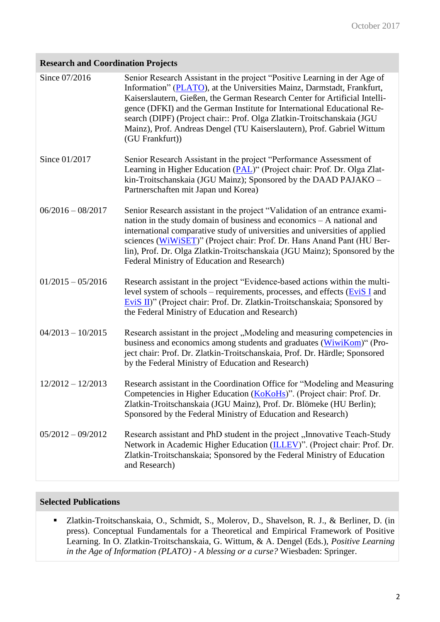## **Research and Coordination Projects**

| Since 07/2016       | Senior Research Assistant in the project "Positive Learning in der Age of<br>Information" (PLATO), at the Universities Mainz, Darmstadt, Frankfurt,<br>Kaiserslautern, Gießen, the German Research Center for Artificial Intelli-<br>gence (DFKI) and the German Institute for International Educational Re-<br>search (DIPF) (Project chair:: Prof. Olga Zlatkin-Troitschanskaia (JGU<br>Mainz), Prof. Andreas Dengel (TU Kaiserslautern), Prof. Gabriel Wittum<br>(GU Frankfurt)) |
|---------------------|-------------------------------------------------------------------------------------------------------------------------------------------------------------------------------------------------------------------------------------------------------------------------------------------------------------------------------------------------------------------------------------------------------------------------------------------------------------------------------------|
| Since 01/2017       | Senior Research Assistant in the project "Performance Assessment of<br>Learning in Higher Education (PAL)" (Project chair: Prof. Dr. Olga Zlat-<br>kin-Troitschanskaia (JGU Mainz); Sponsored by the DAAD PAJAKO -<br>Partnerschaften mit Japan und Korea)                                                                                                                                                                                                                          |
| $06/2016 - 08/2017$ | Senior Research assistant in the project "Validation of an entrance exami-<br>nation in the study domain of business and economics $- A$ national and<br>international comparative study of universities and universities of applied<br>sciences (WiWiSET)" (Project chair: Prof. Dr. Hans Anand Pant (HU Ber-<br>lin), Prof. Dr. Olga Zlatkin-Troitschanskaia (JGU Mainz); Sponsored by the<br>Federal Ministry of Education and Research)                                         |
| $01/2015 - 05/2016$ | Research assistant in the project "Evidence-based actions within the multi-<br>level system of schools – requirements, processes, and effects $(EviS I)$ and<br>EviS II)" (Project chair: Prof. Dr. Zlatkin-Troitschanskaia; Sponsored by<br>the Federal Ministry of Education and Research)                                                                                                                                                                                        |
| $04/2013 - 10/2015$ | Research assistant in the project, Modeling and measuring competencies in<br>business and economics among students and graduates (WiwiKom)" (Pro-<br>ject chair: Prof. Dr. Zlatkin-Troitschanskaia, Prof. Dr. Härdle; Sponsored<br>by the Federal Ministry of Education and Research)                                                                                                                                                                                               |
| $12/2012 - 12/2013$ | Research assistant in the Coordination Office for "Modeling and Measuring<br>Competencies in Higher Education (KoKoHs)". (Project chair: Prof. Dr.<br>Zlatkin-Troitschanskaia (JGU Mainz), Prof. Dr. Blömeke (HU Berlin);<br>Sponsored by the Federal Ministry of Education and Research)                                                                                                                                                                                           |
| $05/2012 - 09/2012$ | Research assistant and PhD student in the project "Innovative Teach-Study<br>Network in Academic Higher Education (ILLEV)". (Project chair: Prof. Dr.<br>Zlatkin-Troitschanskaia; Sponsored by the Federal Ministry of Education<br>and Research)                                                                                                                                                                                                                                   |

#### **Selected Publications**

 Zlatkin-Troitschanskaia, O., Schmidt, S., Molerov, D., Shavelson, R. J., & Berliner, D. (in press). Conceptual Fundamentals for a Theoretical and Empirical Framework of Positive Learning. In O. Zlatkin-Troitschanskaia, G. Wittum, & A. Dengel (Eds.), *Positive Learning in the Age of Information (PLATO) - A blessing or a curse?* Wiesbaden: Springer.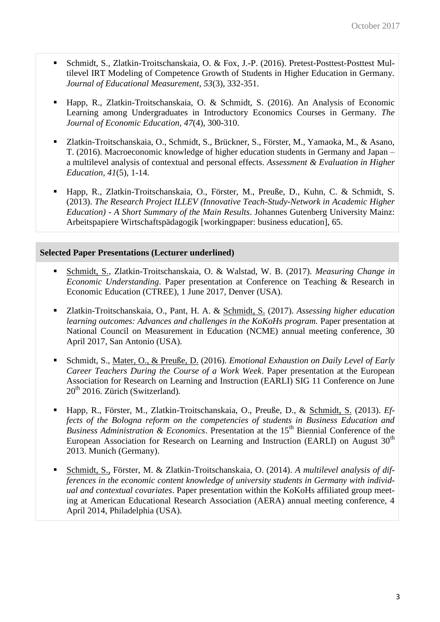- Schmidt, S., Zlatkin-Troitschanskaia, O. & Fox, J.-P. (2016). Pretest-Posttest-Posttest Multilevel IRT Modeling of Competence Growth of Students in Higher Education in Germany. *Journal of Educational Measurement, 53*(3), 332-351.
- Happ, R., Zlatkin-Troitschanskaia, O. & Schmidt, S. (2016). An Analysis of Economic Learning among Undergraduates in Introductory Economics Courses in Germany. *The Journal of Economic Education, 47*(4), 300-310.
- Zlatkin-Troitschanskaia, O., Schmidt, S., Brückner, S., Förster, M., Yamaoka, M., & Asano, T. (2016). Macroeconomic knowledge of higher education students in Germany and Japan – a multilevel analysis of contextual and personal effects. *Assessment & Evaluation in Higher Education*, *41*(5), 1-14.
- Happ, R., Zlatkin-Troitschanskaia, O., Förster, M., Preuße, D., Kuhn, C. & Schmidt, S. (2013). *The Research Project ILLEV (Innovative Teach-Study-Network in Academic Higher Education) - A Short Summary of the Main Results*. Johannes Gutenberg University Mainz: Arbeitspapiere Wirtschaftspädagogik [workingpaper: business education], 65.

#### **Selected Paper Presentations (Lecturer underlined)**

- Schmidt, S., Zlatkin-Troitschanskaia, O. & Walstad, W. B. (2017). *Measuring Change in Economic Understanding*. Paper presentation at Conference on Teaching & Research in Economic Education (CTREE), 1 June 2017, Denver (USA).
- Zlatkin-Troitschanskaia, O., Pant, H. A. & Schmidt, S. (2017). *Assessing higher education learning outcomes: Advances and challenges in the KoKoHs program.* Paper presentation at National Council on Measurement in Education (NCME) annual meeting conference, 30 April 2017, San Antonio (USA).
- Schmidt, S., Mater, O., & Preuße, D. (2016). *Emotional Exhaustion on Daily Level of Early Career Teachers During the Course of a Work Week*. Paper presentation at the European Association for Research on Learning and Instruction (EARLI) SIG 11 Conference on June 20th 2016. Zürich (Switzerland)*.*
- Happ, R., Förster, M., Zlatkin-Troitschanskaia, O., Preuße, D., & Schmidt, S. (2013). *Effects of the Bologna reform on the competencies of students in Business Education and Business Administration & Economics*. Presentation at the 15<sup>th</sup> Biennial Conference of the European Association for Research on Learning and Instruction (EARLI) on August  $30<sup>th</sup>$ 2013. Munich (Germany).
- Schmidt, S., Förster, M. & Zlatkin-Troitschanskaia, O. (2014). *A multilevel analysis of differences in the economic content knowledge of university students in Germany with individual and contextual covariates*. Paper presentation within the KoKoHs affiliated group meeting at American Educational Research Association (AERA) annual meeting conference, 4 April 2014, Philadelphia (USA).